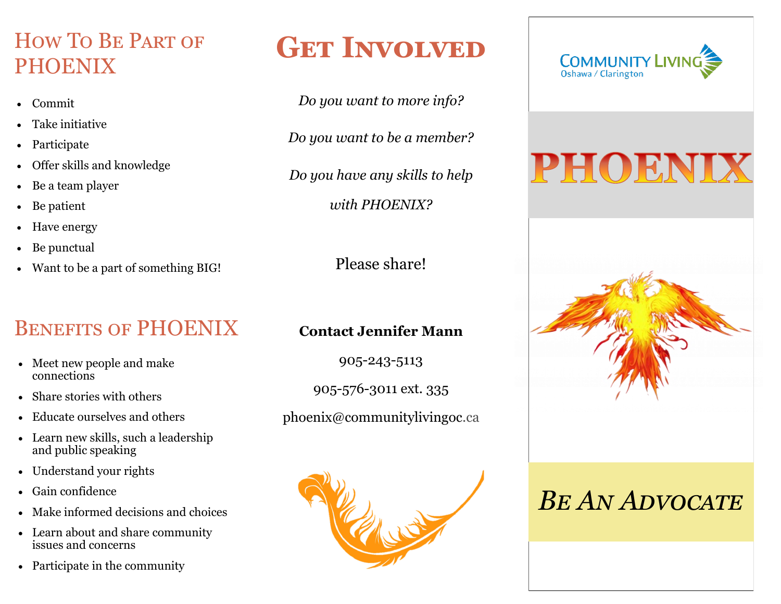### How To Be Part of PHOENIX

- Commit
- Take initiative
- Participate
- Offer skills and knowledge
- Be a team player
- Be patient
- Have energy
- Be punctual
- Want to be a part of something BIG!

### Benefits of PHOENIX

- Meet new people and make connections
- Share stories with others
- Educate ourselves and others
- Learn new skills, such a leadership and public speaking
- Understand your rights
- Gain confidence
- Make informed decisions and choices
- Learn about and share community issues and concerns
- Participate in the community

## **GET INVOLVED**

*Do you want to more info?*

*Do you want to be a member?* 

*Do you have any skills to help* 

*with PHOENIX?* 

Please share!

#### **Contact Jennifer Mann**

905-243-5113

905-576-3011 ext. 335

phoenix@communitylivingoc.ca





# PHOENIX



## *Be An Advocate*